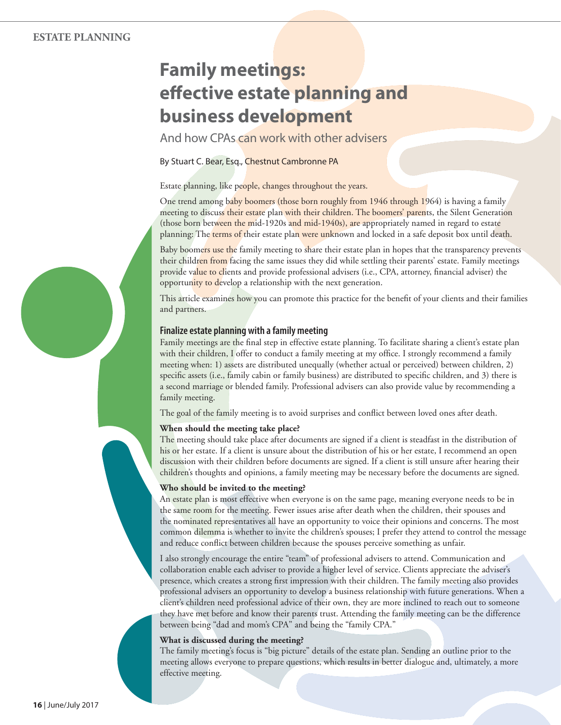# **Family meetings: eff ective estate planning and business development**

And how CPAs can work with other advisers

By Stuart C. Bear, Esq., Chestnut Cambronne PA

Estate planning, like people, changes throughout the years.

One trend among baby boomers (those born roughly from 1946 through 1964) is having a family meeting to discuss their estate plan with their children. The boomers' parents, the Silent Generation (those born between the mid-1920s and mid-1940s), are appropriately named in regard to estate planning: The terms of their estate plan were unknown and locked in a safe deposit box until death.

Baby boomers use the family meeting to share their estate plan in hopes that the transparency prevents their children from facing the same issues they did while settling their parents' estate. Family meetings provide value to clients and provide professional advisers (i.e., CPA, attorney, financial adviser) the opportunity to develop a relationship with the next generation.

This article examines how you can promote this practice for the benefit of your clients and their families and partners.

Family meetings are the final step in effective estate planning. To facilitate sharing a client's estate plan with their children, I offer to conduct a family meeting at my office. I strongly recommend a family meeting when: 1) assets are distributed unequally (whether actual or perceived) between children, 2) specific assets (i.e., family cabin or family business) are distributed to specific children, and 3) there is a second marriage or blended family. Professional advisers can also provide value by recommending a family meeting.

The goal of the family meeting is to avoid surprises and conflict between loved ones after death.

# **When should the meeting take place?**

The meeting should take place after documents are signed if a client is steadfast in the distribution of his or her estate. If a client is unsure about the distribution of his or her estate, I recommend an open discussion with their children before documents are signed. If a client is still unsure after hearing their children's thoughts and opinions, a family meeting may be necessary before the documents are signed.

# **Who should be invited to the meeting?**

An estate plan is most effective when everyone is on the same page, meaning everyone needs to be in the same room for the meeting. Fewer issues arise after death when the children, their spouses and the nominated representatives all have an opportunity to voice their opinions and concerns. The most common dilemma is whether to invite the children's spouses; I prefer they attend to control the message and reduce conflict between children because the spouses perceive something as unfair.

I also strongly encourage the entire "team" of professional advisers to attend. Communication and collaboration enable each adviser to provide a higher level of service. Clients appreciate the adviser's presence, which creates a strong first impression with their children. The family meeting also provides professional advisers an opportunity to develop a business relationship with future generations. When a client's children need professional advice of their own, they are more inclined to reach out to someone they have met before and know their parents trust. Attending the family meeting can be the difference between being "dad and mom's CPA" and being the "family CPA."

# **What is discussed during the meeting?**

The family meeting's focus is "big picture" details of the estate plan. Sending an outline prior to the meeting allows everyone to prepare questions, which results in better dialogue and, ultimately, a more effective meeting.